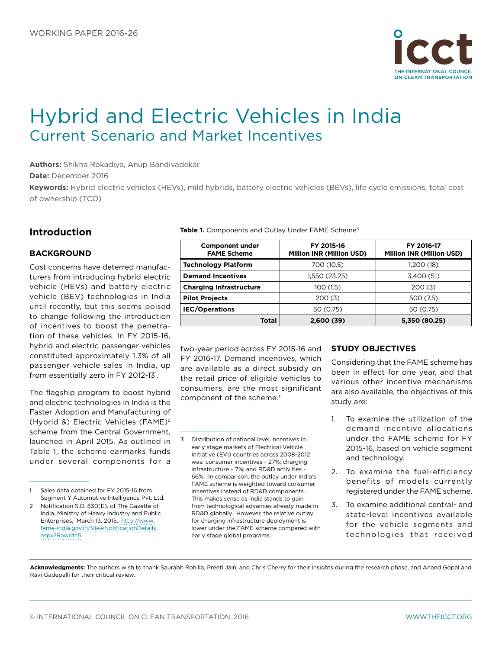

# Hybrid and Electric Vehicles in India Current Scenario and Market Incentives

**Authors:** Shikha Rokadiya, Anup Bandivadekar

**Date:** December 2016

**Keywords:** Hybrid electric vehicles (HEVs), mild hybrids, battery electric vehicles (BEVs), life cycle emissions, total cost of ownership (TCO)

# **Introduction**

## **BACKGROUND**

Cost concerns have deterred manufacturers from introducing hybrid electric vehicle (HEVs) and battery electric vehicle (BEV) technologies in India until recently, but this seems poised to change following the introduction of incentives to boost the penetration of these vehicles. In FY 2015-16, hybrid and electric passenger vehicles constituted approximately 1.3% of all passenger vehicle sales in India, up from essentially zero in FY 2012-13<sup>1</sup>.

The flagship program to boost hybrid and electric technologies in India is the Faster Adoption and Manufacturing of (Hybrid &) Electric Vehicles (FAME)2 scheme from the Central Government, launched in April 2015. As outlined in Table 1, the scheme earmarks funds under several components for a

Table 1. Components and Outlay Under FAME Scheme<sup>3</sup>

| <b>Component under</b><br><b>FAME Scheme</b> | FY 2015-16<br><b>Million INR (Million USD)</b> | FY 2016-17<br><b>Million INR (Million USD)</b> |
|----------------------------------------------|------------------------------------------------|------------------------------------------------|
| <b>Technology Platform</b>                   | 700 (10.5)                                     | 1,200 (18)                                     |
| <b>Demand Incentives</b>                     | 1,550 (23.25)                                  | 3,400 (51)                                     |
| <b>Charging Infrastructure</b>               | 100 (1.5)                                      | 200(3)                                         |
| <b>Pilot Projects</b>                        | 200(3)                                         | 500 (7.5)                                      |
| <b>IEC/Operations</b>                        | 50 (0.75)                                      | 50 (0.75)                                      |
| <b>Total</b>                                 | 2,600 (39)                                     | 5,350 (80.25)                                  |

two-year period across FY 2015-16 and FY 2016-17. Demand incentives, which are available as a direct subsidy on the retail price of eligible vehicles to consumers, are the most significant component of the scheme. $3$ 

## **STUDY OBJECTIVES**

Considering that the FAME scheme has been in effect for one year, and that various other incentive mechanisms are also available, the objectives of this study are:

- 1. To examine the utilization of the demand incentive allocations under the FAME scheme for FY 2015-16, based on vehicle segment and technology.
- 2. To examine the fuel-efficiency benefits of models currently registered under the FAME scheme.
- 3. To examine additional central- and state-level incentives available for the vehicle segments and technologies that received

**Acknowledgments:** The authors wish to thank Saurabh Rohilla, Preeti Jain, and Chris Cherry for their insights during the research phase, and Anand Gopal and Ravi Gadepalli for their critical review.

<sup>1</sup> Sales data obtained for FY 2015-16 from Segment Y Automotive Intelligence Pvt. Ltd.

<sup>2</sup> Notification S.O. 830(E). of The Gazette of India, Ministry of Heavy Industry and Public Enterprises, March 13, 2015, [http://www.](http://www.fame-india.gov.in/ViewNotificationDetails.aspx?RowId=5) [fame-india.gov.in/ViewNotificationDetails.](http://www.fame-india.gov.in/ViewNotificationDetails.aspx?RowId=5) [aspx?RowId=5](http://www.fame-india.gov.in/ViewNotificationDetails.aspx?RowId=5)

<sup>3</sup> Distribution of national level incentives in early stage markets of Electrical Vehicle Initiative (EVI) countries across 2008-2012 was: consumer incentives ~ 27%; charging infrastructure ~ 7%; and RD&D activities ~ 66%. In comparison, the outlay under India's FAME scheme is weighted toward consumer incentives instead of RD&D components. This makes sense as India stands to gain from technological advances already made in RD&D globally. However, the relative outlay for charging infrastructure deployment is lower under the FAME scheme compared with early stage global programs.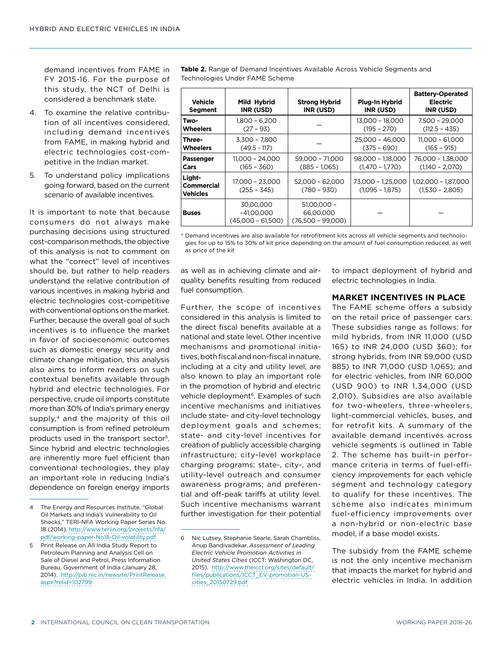demand incentives from FAME in FY 2015-16. For the purpose of this study, the NCT of Delhi is considered a benchmark state.

- 4. To examine the relative contribution of all incentives considered, including demand incentives from FAME, in making hybrid and electric technologies cost-competitive in the Indian market.
- 5. To understand policy implications going forward, based on the current scenario of available incentives.

It is important to note that because consumers do not always make purchasing decisions using structured cost-comparison methods, the objective of this analysis is not to comment on what the "correct" level of incentives should be, but rather to help readers understand the relative contribution of various incentives in making hybrid and electric technologies cost-competitive with conventional options on the market. Further, because the overall goal of such incentives is to influence the market in favor of socioeconomic outcomes such as domestic energy security and climate change mitigation, this analysis also aims to inform readers on such contextual benefits available through hybrid and electric technologies. For perspective, crude oil imports constitute more than 30% of India's primary energy supply,<sup>4</sup> and the majority of this oil consumption is from refined petroleum products used in the transport sector5. Since hybrid and electric technologies are inherently more fuel efficient than conventional technologies, they play an important role in reducing India's dependence on foreign energy imports **Table 2.** Range of Demand Incentives Available Across Vehicle Segments and Technologies Under FAME Scheme

| <b>Vehicle</b><br>Segment               | Mild Hybrid<br>INR (USD)                         | <b>Strong Hybrid</b><br>INR (USD)                 | Plug-In Hybrid<br>INR (USD)            | <b>Battery-Operated</b><br><b>Electric</b><br>INR (USD) |
|-----------------------------------------|--------------------------------------------------|---------------------------------------------------|----------------------------------------|---------------------------------------------------------|
| Two-                                    | $1,800 - 6,200$                                  |                                                   | 13,000 - 18,000                        | 7.500 - 29.000                                          |
| <b>Wheelers</b>                         | $(27 - 93)$                                      |                                                   | $(195 - 270)$                          | $(112.5 - 435)$                                         |
| Three-                                  | $3.300 - 7.800$                                  |                                                   | 25,000 - 46,000                        | 11,000 - 61,000                                         |
| <b>Wheelers</b>                         | $(49.5 - 117)$                                   |                                                   | $(375 - 690)$                          | $(165 - 915)$                                           |
| <b>Passenger</b>                        | 11.000 - 24.000                                  | 59.000 - 71.000                                   | 98,000 - 1,18,000                      | 76,000 - 1,38,000                                       |
| Cars                                    | $(165 - 360)$                                    | $(885 - 1.065)$                                   | $(1.470 - 1.770)$                      | $(1.140 - 2.070)$                                       |
| Light-<br>Commercial<br><b>Vehicles</b> | 17,000 - 23,000<br>$(255 - 345)$                 | $52,000 - 62,000$<br>$(780 - 930)$                | 73,000 - 1,25,000<br>$(1,095 - 1,875)$ | 1,02,000 - 1,87,000<br>$(1,530 - 2,805)$                |
| <b>Buses</b>                            | 30.00.000<br>$-41,00,000$<br>$(45,000 - 61,500)$ | $51.00.000 -$<br>66,00,000<br>$(76,500 - 99,000)$ |                                        |                                                         |

\* Demand incentives are also available for retrofitment kits across all vehicle segments and technologies for up to 15% to 30% of kit price depending on the amount of fuel consumption reduced, as well as price of the kit

as well as in achieving climate and airquality benefits resulting from reduced fuel consumption.

Further, the scope of incentives considered in this analysis is limited to the direct fiscal benefits available at a national and state level. Other incentive mechanisms and promotional initiatives, both fiscal and non-fiscal in nature, including at a city and utility level, are also known to play an important role in the promotion of hybrid and electric vehicle deployment<sup>6</sup>. Examples of such incentive mechanisms and initiatives include state- and city-level technology deployment goals and schemes; state- and city-level incentives for creation of publicly accessible charging infrastructure; city-level workplace charging programs; state-, city-, and utility-level outreach and consumer awareness programs; and preferential and off-peak tariffs at utility level. Such incentive mechanisms warrant further investigation for their potential to impact deployment of hybrid and electric technologies in India.

## **MARKET INCENTIVES IN PLACE**

The FAME scheme offers a subsidy on the retail price of passenger cars. These subsidies range as follows: for mild hybrids, from INR 11,000 (USD 165) to INR 24,000 (USD 360); for strong hybrids, from INR 59,000 (USD 885) to INR 71,000 (USD 1,065); and for electric vehicles, from INR 60,000 (USD 900) to INR 1,34,000 (USD 2,010). Subsidies are also available for two-wheelers, three-wheelers, light-commercial vehicles, buses, and for retrofit kits. A summary of the available demand incentives across vehicle segments is outlined in Table 2. The scheme has built-in performance criteria in terms of fuel-efficiency improvements for each vehicle segment and technology category to qualify for these incentives. The scheme also indicates minimum fuel-efficiency improvements over a non-hybrid or non-electric base model, if a base model exists.

The subsidy from the FAME scheme is not the only incentive mechanism that impacts the market for hybrid and electric vehicles in India. In addition

<sup>4</sup> The Energy and Resources Institute, "Global Oil Markets and India's Vulnerability to Oil Shocks," TERI-NFA Working Paper Series No. 18 (2014). [http://www.teriin.org/projects/nfa/](http://www.teriin.org/projects/nfa/pdf/working-paper-No18-Oil-volatility.pdf) [pdf/working-paper-No18-Oil-volatility.pdf](http://www.teriin.org/projects/nfa/pdf/working-paper-No18-Oil-volatility.pdf)

<sup>5</sup> Print Release on All India Study Report to Petroleum Planning and Analysis Cell on Sale of Diesel and Petrol, Press Information Bureau, Government of India (January 28, 2014). [http://pib.nic.in/newsite/PrintRelease.](http://pib.nic.in/newsite/PrintRelease.aspx?relid=102799) [aspx?relid=102799](http://pib.nic.in/newsite/PrintRelease.aspx?relid=102799)

<sup>6</sup> Nic Lutsey, Stephanie Searle, Sarah Chambliss, Anup Bandivadekar, *Assessment of Leading Electric Vehicle Promotion Activities in United States Cities* (ICCT: Washington DC, 2015). [http://www.theicct.org/sites/default/](http://www.theicct.org/sites/default/files/publications/ICCT_EV-promotion-US-cities_20150729.pdf) [files/publications/ICCT\\_EV-promotion-US](http://www.theicct.org/sites/default/files/publications/ICCT_EV-promotion-US-cities_20150729.pdf)[cities\\_20150729.pdf](http://www.theicct.org/sites/default/files/publications/ICCT_EV-promotion-US-cities_20150729.pdf)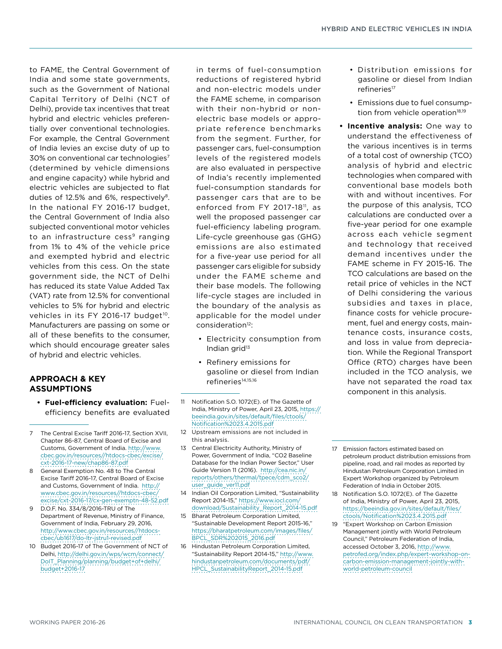to FAME, the Central Government of India and some state governments, such as the Government of National Capital Territory of Delhi (NCT of Delhi), provide tax incentives that treat hybrid and electric vehicles preferentially over conventional technologies. For example, the Central Government of India levies an excise duty of up to 30% on conventional car technologies<sup>7</sup> (determined by vehicle dimensions and engine capacity) while hybrid and electric vehicles are subjected to flat duties of 12.5% and 6%, respectively<sup>8</sup>. In the national FY 2016-17 budget, the Central Government of India also subjected conventional motor vehicles to an infrastructure cess<sup>9</sup> ranging from 1% to 4% of the vehicle price and exempted hybrid and electric vehicles from this cess. On the state government side, the NCT of Delhi has reduced its state Value Added Tax (VAT) rate from 12.5% for conventional vehicles to 5% for hybrid and electric vehicles in its FY 2016-17 budget<sup>10</sup>. Manufacturers are passing on some or all of these benefits to the consumer, which should encourage greater sales of hybrid and electric vehicles.

## **APPROACH & KEY ASSUMPTIONS**

- **• Fuel-efficiency evaluation:** Fuelefficiency benefits are evaluated
- 7 The Central Excise Tariff 2016-17, Section XVII, Chapter 86-87, Central Board of Excise and Customs, Government of India. [http://www.](http://www.cbec.gov.in/resources//htdocs-cbec/excise/cxt-2016-17-new/chap86-87.pdf) [cbec.gov.in/resources//htdocs-cbec/excise/](http://www.cbec.gov.in/resources//htdocs-cbec/excise/cxt-2016-17-new/chap86-87.pdf) [cxt-2016-17-new/chap86-87.pdf](http://www.cbec.gov.in/resources//htdocs-cbec/excise/cxt-2016-17-new/chap86-87.pdf)
- 8 General Exemption No. 48 to The Central Excise Tariff 2016-17, Central Board of Excise and Customs, Government of India. [http://](http://www.cbec.gov.in/resources/htdocs-cbec/excise/cxt-2016-17/cx-gen-exemptn-48-52.pdf) [www.cbec.gov.in/resources//htdocs-cbec/](http://www.cbec.gov.in/resources/htdocs-cbec/excise/cxt-2016-17/cx-gen-exemptn-48-52.pdf) [excise/cxt-2016-17/cx-gen-exemptn-48-52.pdf](http://www.cbec.gov.in/resources/htdocs-cbec/excise/cxt-2016-17/cx-gen-exemptn-48-52.pdf)
- 9 D.O.F. No. 334/8/2016-TRU of The Department of Revenue, Ministry of Finance, Government of India, February 29, 2016, [http://www.cbec.gov.in/resources//htdocs](http://www.cbec.gov.in/resources//htdocs-cbec/ub1617/do-ltr-jstru1-revised.pdf)[cbec/ub1617/do-ltr-jstru1-revised.pdf](http://www.cbec.gov.in/resources//htdocs-cbec/ub1617/do-ltr-jstru1-revised.pdf)
- 10 Budget 2016-17 of The Government of NCT of Delhi, [http://delhi.gov.in/wps/wcm/connect/](http://delhi.gov.in/wps/wcm/connect/DoIT_Planning/planning/budget+of+delhi/budget+2016-17) [DoIT\\_Planning/planning/budget+of+delhi/](http://delhi.gov.in/wps/wcm/connect/DoIT_Planning/planning/budget+of+delhi/budget+2016-17) [budget+2016-17](http://delhi.gov.in/wps/wcm/connect/DoIT_Planning/planning/budget+of+delhi/budget+2016-17)

in terms of fuel-consumption reductions of registered hybrid and non-electric models under the FAME scheme, in comparison with their non-hybrid or nonelectric base models or appropriate reference benchmarks from the segment. Further, for passenger cars, fuel-consumption levels of the registered models are also evaluated in perspective of India's recently implemented fuel-consumption standards for passenger cars that are to be enforced from FY 2017-18<sup>11</sup>, as well the proposed passenger car fuel-efficiency labeling program. Life-cycle greenhouse gas (GHG) emissions are also estimated for a five-year use period for all passenger cars eligible for subsidy under the FAME scheme and their base models. The following life-cycle stages are included in the boundary of the analysis as applicable for the model under consideration<sup>12</sup>:

- Electricity consumption from Indian grid<sup>13</sup>
- Refinery emissions for gasoline or diesel from Indian refineries<sup>14,15,16</sup>
- 11 Notification S.O. 1072(E). of The Gazette of India, Ministry of Power, April 23, 2015, [https://](https://beeindia.gov.in/sites/default/files/ctools/Notification 23.4.2015.pdf) [beeindia.gov.in/sites/default/files/ctools/](https://beeindia.gov.in/sites/default/files/ctools/Notification 23.4.2015.pdf) [Notification%2023.4.2015.pdf](https://beeindia.gov.in/sites/default/files/ctools/Notification 23.4.2015.pdf)
- 12 Upstream emissions are not included in this analysis.
- 13 Central Electricity Authority, Ministry of Power, Government of India, "CO2 Baseline Database for the Indian Power Sector," User Guide Version 11 (2016). [http://cea.nic.in/](http://cea.nic.in/reports/others/thermal/tpece/cdm_sco2/user_guide_ver11.pdf) [reports/others/thermal/tpece/cdm\\_sco2/](http://cea.nic.in/reports/others/thermal/tpece/cdm_sco2/user_guide_ver11.pdf) [user\\_guide\\_ver11.pdf](http://cea.nic.in/reports/others/thermal/tpece/cdm_sco2/user_guide_ver11.pdf)
- 14 Indian Oil Corporation Limited, "Sustainability Report 2014-15," [https://www.iocl.com/](https://www.iocl.com/download/Sustainability_Report_2014-15.pdf) [download/Sustainability\\_Report\\_2014-15.pdf](https://www.iocl.com/download/Sustainability_Report_2014-15.pdf)
- 15 Bharat Petroleum Corporation Limited, "Sustainable Development Report 2015-16," [https://bharatpetroleum.com/images/files/](https://bharatpetroleum.com/images/files/BPCL_SDR 2015_2016.pdf) [BPCL\\_SDR%202015\\_2016.pdf](https://bharatpetroleum.com/images/files/BPCL_SDR 2015_2016.pdf)
- 16 Hindustan Petroleum Corporation Limited, "Sustainability Report 2014-15," [http://www.](http://www.hindustanpetroleum.com/documents/pdf/HPCL_SustainabilityReport_2014-15.pdf) [hindustanpetroleum.com/documents/pdf/](http://www.hindustanpetroleum.com/documents/pdf/HPCL_SustainabilityReport_2014-15.pdf) [HPCL\\_SustainabilityReport\\_2014-15.pdf](http://www.hindustanpetroleum.com/documents/pdf/HPCL_SustainabilityReport_2014-15.pdf)
- Distribution emissions for gasoline or diesel from Indian refineries<sup>17</sup>
- Emissions due to fuel consumption from vehicle operation<sup>18,19</sup>
- **• Incentive analysis:** One way to understand the effectiveness of the various incentives is in terms of a total cost of ownership (TCO) analysis of hybrid and electric technologies when compared with conventional base models both with and without incentives. For the purpose of this analysis, TCO calculations are conducted over a five-year period for one example across each vehicle segment and technology that received demand incentives under the FAME scheme in FY 2015-16. The TCO calculations are based on the retail price of vehicles in the NCT of Delhi considering the various subsidies and taxes in place, finance costs for vehicle procurement, fuel and energy costs, maintenance costs, insurance costs, and loss in value from depreciation. While the Regional Transport Office (RTO) charges have been included in the TCO analysis, we have not separated the road tax component in this analysis.
- 17 Emission factors estimated based on petroleum product distribution emissions from pipeline, road, and rail modes as reported by Hindustan Petroleum Corporation Limited in Expert Workshop organized by Petroleum Federation of India in October 2015.
- 18 Notification S.O. 1072(E). of The Gazette of India, Ministry of Power, April 23, 2015, [https://beeindia.gov.in/sites/default/files/](https://beeindia.gov.in/sites/default/files/ctools/Notification 23.4.2015.pdf) [ctools/Notification%2023.4.2015.pdf](https://beeindia.gov.in/sites/default/files/ctools/Notification 23.4.2015.pdf)
- 19 "Expert Workshop on Carbon Emission Management jointly with World Petroleum Council," Petroleum Federation of India, accessed October 3, 2016, [http://www.](http://www.petrofed.org/index.php/expert-workshop-on-carbon-emission-management-jointly-with-world-petroleum-council) [petrofed.org/index.php/expert-workshop-on](http://www.petrofed.org/index.php/expert-workshop-on-carbon-emission-management-jointly-with-world-petroleum-council)[carbon-emission-management-jointly-with](http://www.petrofed.org/index.php/expert-workshop-on-carbon-emission-management-jointly-with-world-petroleum-council)[world-petroleum-council](http://www.petrofed.org/index.php/expert-workshop-on-carbon-emission-management-jointly-with-world-petroleum-council)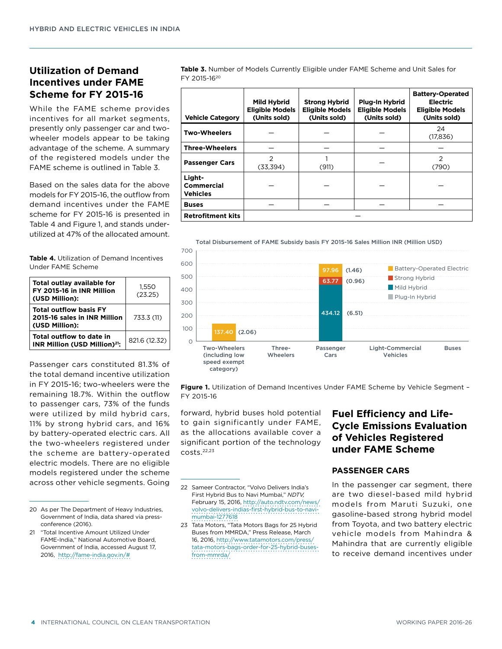# **Utilization of Demand Incentives under FAME Scheme for FY 2015-16**

While the FAME scheme provides incentives for all market segments, presently only passenger car and twowheeler models appear to be taking advantage of the scheme. A summary of the registered models under the FAME scheme is outlined in Table 3.

Based on the sales data for the above models for FY 2015-16, the outflow from demand incentives under the FAME scheme for FY 2015-16 is presented in Table 4 and Figure 1, and stands underutilized at 47% of the allocated amount.

**Table 4.** Utilization of Demand Incentives Under FAME Scheme

| Total outlay available for<br>FY 2015-16 in INR Million<br>(USD Million):       | 1.550<br>(23.25) |
|---------------------------------------------------------------------------------|------------------|
| <b>Total outflow basis FY</b><br>2015-16 sales in INR Million<br>(USD Million): | 733.3 (11)       |
| Total outflow to date in<br>INR Million (USD Million) <sup>21</sup> :           | 821.6 (12.32)    |

Passenger cars constituted 81.3% of the total demand incentive utilization in FY 2015-16; two-wheelers were the remaining 18.7%. Within the outflow to passenger cars, 73% of the funds were utilized by mild hybrid cars, 11% by strong hybrid cars, and 16% by battery-operated electric cars. All the two-wheelers registered under the scheme are battery-operated electric models. There are no eligible models registered under the scheme across other vehicle segments. Going

**Table 3.** Number of Models Currently Eligible under FAME Scheme and Unit Sales for FY 2015-1620

| <b>Vehicle Category</b>                 | Mild Hybrid<br><b>Eligible Models</b><br>(Units sold) | <b>Strong Hybrid</b><br><b>Eligible Models</b><br>(Units sold) | Plug-In Hybrid<br><b>Eligible Models</b><br>(Units sold) | <b>Battery-Operated</b><br><b>Electric</b><br><b>Eligible Models</b><br>(Units sold) |
|-----------------------------------------|-------------------------------------------------------|----------------------------------------------------------------|----------------------------------------------------------|--------------------------------------------------------------------------------------|
| <b>Two-Wheelers</b>                     |                                                       |                                                                |                                                          | 24<br>(17, 836)                                                                      |
| <b>Three-Wheelers</b>                   |                                                       |                                                                |                                                          |                                                                                      |
| <b>Passenger Cars</b>                   | $\mathcal{P}$<br>(33,394)                             | (911)                                                          |                                                          | $\overline{2}$<br>(790)                                                              |
| Light-<br>Commercial<br><b>Vehicles</b> |                                                       |                                                                |                                                          |                                                                                      |
| <b>Buses</b>                            |                                                       |                                                                |                                                          |                                                                                      |
| <b>Retrofitment kits</b>                |                                                       |                                                                |                                                          |                                                                                      |





**Figure 1.** Utilization of Demand Incentives Under FAME Scheme by Vehicle Segment – FY 2015-16

forward, hybrid buses hold potential to gain significantly under FAME, as the allocations available cover a significant portion of the technology costs.22,23

23 Tata Motors, "Tata Motors Bags for 25 Hybrid Buses from MMRDA," Press Release, March 16, 2016, [http://www.tatamotors.com/press/](http://www.tatamotors.com/press/tata-motors-bags-order-for-25-hybrid-buses-from-mmrda/) [tata-motors-bags-order-for-25-hybrid-buses](http://www.tatamotors.com/press/tata-motors-bags-order-for-25-hybrid-buses-from-mmrda/)[from-mmrda/](http://www.tatamotors.com/press/tata-motors-bags-order-for-25-hybrid-buses-from-mmrda/)

# **Fuel Efficiency and Life-Cycle Emissions Evaluation of Vehicles Registered under FAME Scheme**

## **PASSENGER CARS**

In the passenger car segment, there are two diesel-based mild hybrid models from Maruti Suzuki, one gasoline-based strong hybrid model from Toyota, and two battery electric vehicle models from Mahindra & Mahindra that are currently eligible to receive demand incentives under

<sup>20</sup> As per The Department of Heavy Industries, Government of India, data shared via pressconference (2016).

<sup>21</sup> "Total Incentive Amount Utilized Under FAME-India," National Automotive Board, Government of India, accessed August 17, 2016, <http://fame-india.gov.in/#>

<sup>22</sup> Sameer Contractor, "Volvo Delivers India's First Hybrid Bus to Navi Mumbai," *NDTV,* February 15, 2016, [http://auto.ndtv.com/news/](http://auto.ndtv.com/news/volvo-delivers-indias-first-hybrid-bus-to-navi-mumbai-1277618) [volvo-delivers-indias-first-hybrid-bus-to-navi](http://auto.ndtv.com/news/volvo-delivers-indias-first-hybrid-bus-to-navi-mumbai-1277618)[mumbai-1277618](http://auto.ndtv.com/news/volvo-delivers-indias-first-hybrid-bus-to-navi-mumbai-1277618)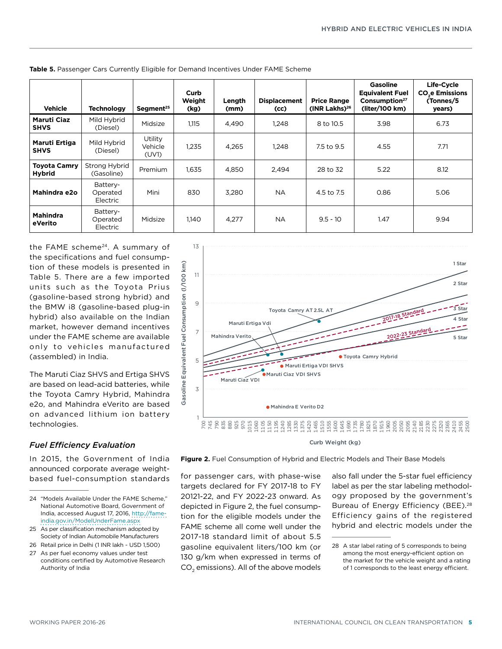| <b>Vehicle</b>                       | <b>Technology</b>                | Segment <sup>25</sup>       | Curb<br>Weight<br>(kg) | Length<br>(mm) | <b>Displacement</b><br>(cc) | <b>Price Range</b><br>(INR Lakhs) $^{26}$ | <b>Gasoline</b><br><b>Equivalent Fuel</b><br>Consumption <sup>27</sup><br>(liter/100 km) | Life-Cycle<br><b>CO<sub>2</sub>e Emissions</b><br>(Tonnes/5<br>years) |
|--------------------------------------|----------------------------------|-----------------------------|------------------------|----------------|-----------------------------|-------------------------------------------|------------------------------------------------------------------------------------------|-----------------------------------------------------------------------|
| <b>Maruti Ciaz</b><br><b>SHVS</b>    | Mild Hybrid<br>(Diesel)          | Midsize                     | 1.115                  | 4.490          | 1,248                       | 8 to 10.5                                 | 3.98                                                                                     | 6.73                                                                  |
| Maruti Ertiga<br><b>SHVS</b>         | Mild Hybrid<br>(Diesel)          | Utility<br>Vehicle<br>(UV1) | 1.235                  | 4.265          | 1,248                       | 7.5 to 9.5                                | 4.55                                                                                     | 7.71                                                                  |
| <b>Toyota Camry</b><br><b>Hybrid</b> | Strong Hybrid<br>(Gasoline)      | Premium                     | 1,635                  | 4,850          | 2,494                       | 28 to 32                                  | 5.22                                                                                     | 8.12                                                                  |
| Mahindra e2o                         | Battery-<br>Operated<br>Electric | Mini                        | 830                    | 3.280          | <b>NA</b>                   | 4.5 to 7.5                                | 0.86                                                                                     | 5.06                                                                  |
| <b>Mahindra</b><br>eVerito           | Battery-<br>Operated<br>Electric | Midsize                     | 1.140                  | 4,277          | <b>NA</b>                   | $9.5 - 10$                                | 1.47                                                                                     | 9.94                                                                  |

**Table 5.** Passenger Cars Currently Eligible for Demand Incentives Under FAME Scheme

13

the FAME scheme<sup>24</sup>. A summary of the specifications and fuel consumption of these models is presented in Table 5. There are a few imported units such as the Toyota Prius (gasoline-based strong hybrid) and the BMW i8 (gasoline-based plug-in hybrid) also available on the Indian market, however demand incentives under the FAME scheme are available only to vehicles manufactured (assembled) in India.

The Maruti Ciaz SHVS and Ertiga SHVS are based on lead-acid batteries, while the Toyota Camry Hybrid, Mahindra e2o, and Mahindra eVerito are based on advanced lithium ion battery technologies.

## *Fuel Efficiency Evaluation*

In 2015, the Government of India announced corporate average weightbased fuel-consumption standards



Curb Weight (kg)

**Figure 2.** Fuel Consumption of Hybrid and Electric Models and Their Base Models

for passenger cars, with phase-wise targets declared for FY 2017-18 to FY 20121-22, and FY 2022-23 onward. As depicted in Figure 2, the fuel consumption for the eligible models under the FAME scheme all come well under the 2017-18 standard limit of about 5.5 gasoline equivalent liters/100 km (or 130 g/km when expressed in terms of CO<sub>2</sub> emissions). All of the above models

also fall under the 5-star fuel efficiency label as per the star labeling methodology proposed by the government's Bureau of Energy Efficiency (BEE).<sup>28</sup> Efficiency gains of the registered hybrid and electric models under the

<sup>24 &</sup>quot;Models Available Under the FAME Scheme" National Automotive Board, Government of India, accessed August 17, 2016, [http://fame](http://fame-india.gov.in/ModelUnderFame.aspx)[india.gov.in/ModelUnderFame.aspx](http://fame-india.gov.in/ModelUnderFame.aspx)

<sup>25</sup> As per classification mechanism adopted by Society of Indian Automobile Manufacturers

<sup>26</sup> Retail price in Delhi (1 INR lakh ~ USD 1,500)

<sup>27</sup> As per fuel economy values under test conditions certified by Automotive Research Authority of India

<sup>28</sup> A star label rating of 5 corresponds to being among the most energy-efficient option on the market for the vehicle weight and a rating of 1 corresponds to the least energy efficient.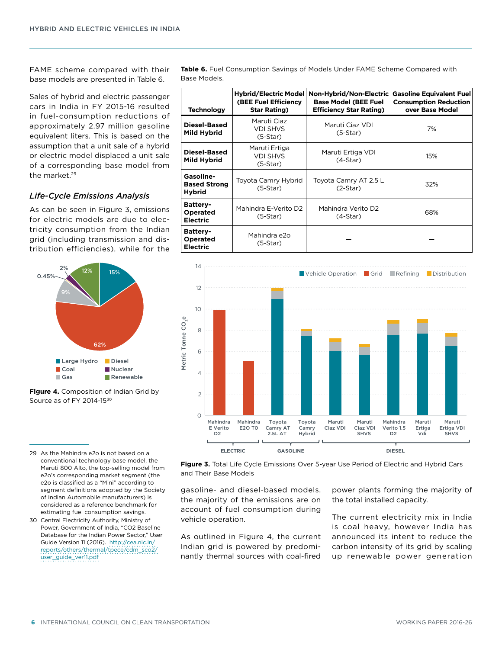FAME scheme compared with their base models are presented in Table 6.

Sales of hybrid and electric passenger cars in India in FY 2015-16 resulted in fuel-consumption reductions of approximately 2.97 million gasoline equivalent liters. This is based on the assumption that a unit sale of a hybrid or electric model displaced a unit sale of a corresponding base model from the market.<sup>29</sup>

## *Life-Cycle Emissions Analysis*

As can be seen in Figure 3, emissions for electric models are due to electricity consumption from the Indian grid (including transmission and distribution efficiencies), while for the



**Figure 4.** Composition of Indian Grid by Source as of FY 2014-15<sup>30</sup>

- 29 As the Mahindra e2o is not based on a conventional technology base model, the Maruti 800 Alto, the top-selling model from e2o's corresponding market segment (the e2o is classified as a "Mini" according to segment definitions adopted by the Society of Indian Automobile manufacturers) is considered as a reference benchmark for estimating fuel consumption savings.
- 30 Central Electricity Authority, Ministry of Power, Government of India, "CO2 Baseline Database for the Indian Power Sector" User Guide Version 11 (2016). [http://cea.nic.in/](http://cea.nic.in/reports/others/thermal/tpece/cdm_sco2/user_guide_ver11.pdf) [reports/others/thermal/tpece/cdm\\_sco2/](http://cea.nic.in/reports/others/thermal/tpece/cdm_sco2/user_guide_ver11.pdf) [user\\_guide\\_ver11.pdf](http://cea.nic.in/reports/others/thermal/tpece/cdm_sco2/user_guide_ver11.pdf)

**Table 6.** Fuel Consumption Savings of Models Under FAME Scheme Compared with Base Models.

| <b>Technology</b>                                 | Hybrid/Electric Model<br><b>(BEE Fuel Efficiency</b><br><b>Star Rating)</b> | Non-Hybrid/Non-Electric<br><b>Base Model (BEE Fuel</b><br><b>Efficiency Star Rating)</b> | <b>Gasoline Equivalent Fuel</b><br><b>Consumption Reduction</b><br>over Base Model |
|---------------------------------------------------|-----------------------------------------------------------------------------|------------------------------------------------------------------------------------------|------------------------------------------------------------------------------------|
| Diesel-Based<br>Mild Hybrid                       | Maruti Ciaz<br><b>VDI SHVS</b><br>$(5-Star)$                                | Maruti Ciaz VDI<br>$(5-Star)$                                                            | 7%                                                                                 |
| Diesel-Based<br>Mild Hybrid                       | Maruti Ertiga<br><b>VDI SHVS</b><br>$(5-Star)$                              | Maruti Ertiga VDI<br>$(4-Star)$                                                          | 15%                                                                                |
| Gasoline-<br><b>Based Strong</b><br><b>Hybrid</b> | Toyota Camry Hybrid<br>$(5-Star)$                                           | Toyota Camry AT 2.5 L<br>$(2-Star)$                                                      | 32%                                                                                |
| <b>Battery-</b><br>Operated<br><b>Electric</b>    | Mahindra E-Verito D2<br>$(5-Star)$                                          | Mahindra Verito D2<br>$(4-Star)$                                                         | 68%                                                                                |
| <b>Battery-</b><br>Operated<br><b>Electric</b>    | Mahindra e2o<br>$(5-Star)$                                                  |                                                                                          |                                                                                    |





gasoline- and diesel-based models, the majority of the emissions are on account of fuel consumption during vehicle operation.

As outlined in Figure 4, the current Indian grid is powered by predominantly thermal sources with coal-fired

power plants forming the majority of the total installed capacity.

The current electricity mix in India is coal heavy, however India has announced its intent to reduce the carbon intensity of its grid by scaling up renewable power generation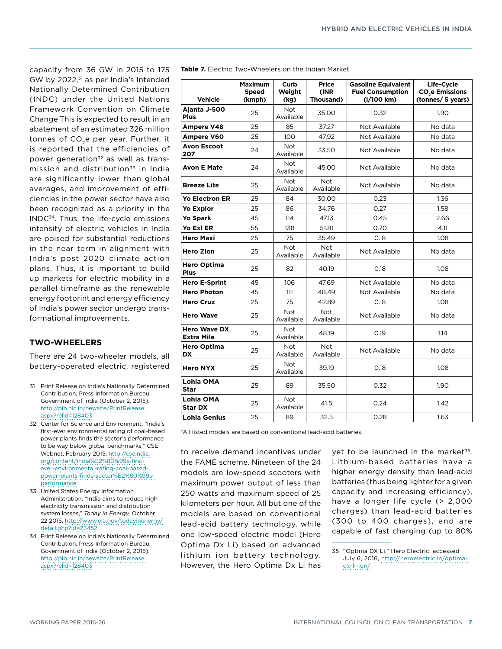capacity from 36 GW in 2015 to 175 GW by 2022,<sup>31</sup> as per India's Intended Nationally Determined Contribution (INDC) under the United Nations Framework Convention on Climate Change This is expected to result in an abatement of an estimated 326 million tonnes of CO<sub>2</sub>e per year. Further, it is reported that the efficiencies of power generation<sup>32</sup> as well as transmission and distribution $33$  in India are significantly lower than global averages, and improvement of efficiencies in the power sector have also been recognized as a priority in the INDC34. Thus, the life-cycle emissions intensity of electric vehicles in India are poised for substantial reductions in the near term in alignment with India's post 2020 climate action plans. Thus, it is important to build up markets for electric mobility in a parallel timeframe as the renewable energy footprint and energy efficiency of India's power sector undergo transformational improvements.

## **TWO-WHEELERS**

There are 24 two-wheeler models, all battery-operated electric, registered

- 31 Print Release on India's Nationally Determined Contribution, Press Information Bureau, Government of India (October 2, 2015). [http://pib.nic.in/newsite/PrintRelease.](http://pib.nic.in/newsite/PrintRelease.aspx?relid=128403) [aspx?relid=128403](http://pib.nic.in/newsite/PrintRelease.aspx?relid=128403)
- 32 Center for Science and Environment, "India's first-ever environmental rating of coal-based power plants finds the sector's performance to be way below global benchmarks," CSE Webnet, February 2015, [http://cseindia.](http://cseindia.org/content/india%E2%80%99s-first-ever-environmental-rating-coal-based-power-plants-finds-sector%E2%80%99s-performance) [org/content/india%E2%80%99s-first](http://cseindia.org/content/india%E2%80%99s-first-ever-environmental-rating-coal-based-power-plants-finds-sector%E2%80%99s-performance)[ever-environmental-rating-coal-based](http://cseindia.org/content/india%E2%80%99s-first-ever-environmental-rating-coal-based-power-plants-finds-sector%E2%80%99s-performance)[power-plants-finds-sector%E2%80%99s](http://cseindia.org/content/india%E2%80%99s-first-ever-environmental-rating-coal-based-power-plants-finds-sector%E2%80%99s-performance)[performance](http://cseindia.org/content/india%E2%80%99s-first-ever-environmental-rating-coal-based-power-plants-finds-sector%E2%80%99s-performance)
- 33 United States Energy Information Administration, "India aims to reduce high electricity transmission and distribution system losses," *Today in Energy,* October 22 2015, [http://www.eia.gov/todayinenergy/](http://www.eia.gov/todayinenergy/detail.php?id=23452) [detail.php?id=23452](http://www.eia.gov/todayinenergy/detail.php?id=23452)
- 34 Print Release on India's Nationally Determined Contribution, Press Information Bureau, Government of India (October 2, 2015). [http://pib.nic.in/newsite/PrintRelease.](http://pib.nic.in/newsite/PrintRelease.aspx?relid=128403) [aspx?relid=128403](http://pib.nic.in/newsite/PrintRelease.aspx?relid=128403)

| <b>Table 7.</b> Electric Two-Wheelers on the Indian Market |
|------------------------------------------------------------|
|------------------------------------------------------------|

| <b>Vehicle</b>                           | <b>Maximum</b><br>Speed<br>(kmph) | Curb<br>Weight<br>(kg)  | <b>Price</b><br>(INR<br>Thousand) | <b>Gasoline Equivalent</b><br><b>Fuel Consumption</b><br>(I/100 km) | Life-Cycle<br><b>CO<sub>2</sub>e Emissions</b><br>(tonnes/ 5 years) |
|------------------------------------------|-----------------------------------|-------------------------|-----------------------------------|---------------------------------------------------------------------|---------------------------------------------------------------------|
|                                          |                                   |                         |                                   |                                                                     |                                                                     |
| Ajanta J-500<br><b>Plus</b>              | 25                                | Not<br>Available        | 35.00                             | 0.32                                                                | 1.90                                                                |
| Ampere V48                               | 25                                | 85                      | 37.27                             | Not Available                                                       | No data                                                             |
| Ampere V60                               | 25                                | 100                     | 47.92                             | Not Available                                                       | No data                                                             |
| <b>Avon Escoot</b><br>207                | 24                                | Not<br>Available        | 33.50                             | Not Available                                                       | No data                                                             |
| <b>Avon E Mate</b>                       | 24                                | <b>Not</b><br>Available | 45.00                             | Not Available                                                       | No data                                                             |
| <b>Breeze Lite</b>                       | 25                                | Not<br>Available        | <b>Not</b><br>Available           | Not Available                                                       | No data                                                             |
| <b>Yo Electron ER</b>                    | 25                                | 84                      | 30.00                             | 0.23                                                                | 1.36                                                                |
| <b>Yo Explor</b>                         | 25                                | 86                      | 34.76                             | 0.27                                                                | 1.58                                                                |
| <b>Yo Spark</b>                          | 45                                | 114                     | 47.13                             | 0.45                                                                | 2.66                                                                |
| Yo Exl ER                                | 55                                | 138                     | 51.81                             | 0.70                                                                | 4.11                                                                |
| <b>Hero Maxi</b>                         | 25                                | 75                      | 35.49                             | 0.18                                                                | 1.08                                                                |
| <b>Hero Zion</b>                         | 25                                | <b>Not</b><br>Available | <b>Not</b><br>Available           | Not Available                                                       | No data                                                             |
| <b>Hero Optima</b><br><b>Plus</b>        | 25                                | 82                      | 40.19                             | 0.18                                                                | 1.08                                                                |
| <b>Hero E-Sprint</b>                     | 45                                | 106                     | 47.69                             | Not Available                                                       | No data                                                             |
| <b>Hero Photon</b>                       | 45                                | 111                     | 48.49                             | Not Available                                                       | No data                                                             |
| <b>Hero Cruz</b>                         | 25                                | 75                      | 42.89                             | 0.18                                                                | 1.08                                                                |
| <b>Hero Wave</b>                         | 25                                | Not<br>Available        | <b>Not</b><br>Available           | Not Available                                                       | No data                                                             |
| <b>Hero Wave DX</b><br><b>Extra Mile</b> | 25                                | <b>Not</b><br>Available | 48.19                             | 0.19                                                                | 1.14                                                                |
| <b>Hero Optima</b><br><b>DX</b>          | 25                                | <b>Not</b><br>Available | <b>Not</b><br>Available           | Not Available                                                       | No data                                                             |
| <b>Hero NYX</b>                          | 25                                | <b>Not</b><br>Available | 39.19                             | 0.18                                                                | 1.08                                                                |
| Lohia OMA<br>Star                        | 25                                | 89                      | 35.50                             | 0.32                                                                | 1.90                                                                |
| Lohia OMA<br><b>Star DX</b>              | 25                                | <b>Not</b><br>Available | 41.5                              | 0.24                                                                | 1.42                                                                |
| Lohia Genius                             | 25                                | 89                      | 32.5                              | 0.28                                                                | 1.63                                                                |

\*All listed models are based on conventional lead-acid batteries.

to receive demand incentives under the FAME scheme. Nineteen of the 24 models are low-speed scooters with maximum power output of less than 250 watts and maximum speed of 25 kilometers per hour. All but one of the models are based on conventional lead-acid battery technology, while one low-speed electric model (Hero Optima Dx Li) based on advanced lithium ion battery technology. However, the Hero Optima Dx Li has vet to be launched in the market $35$ . Lithium-based batteries have a higher energy density than lead-acid batteries (thus being lighter for a given capacity and increasing efficiency), have a longer life cycle (> 2,000 charges) than lead-acid batteries (300 to 400 charges), and are capable of fast charging (up to 80%

<sup>35</sup> "Optima DX Li," Hero Electric, accessed July 6, 2016, [http://heroelectric.in/optima](http://heroelectric.in/optima-dx-li-ion/)[dx-li-ion/](http://heroelectric.in/optima-dx-li-ion/)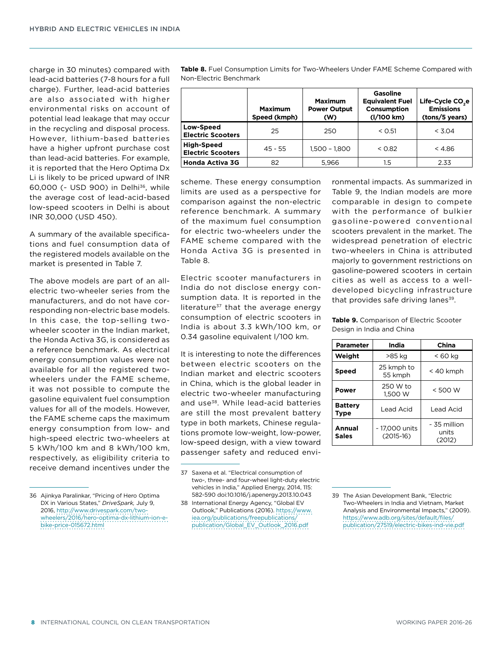charge in 30 minutes) compared with lead-acid batteries (7-8 hours for a full charge). Further, lead-acid batteries are also associated with higher environmental risks on account of potential lead leakage that may occur in the recycling and disposal process. However, lithium-based batteries have a higher upfront purchase cost than lead-acid batteries. For example, it is reported that the Hero Optima Dx Li is likely to be priced upward of INR 60,000 (~ USD 900) in Delhi36, while the average cost of lead-acid-based low-speed scooters in Delhi is about INR 30,000 (USD 450).

A summary of the available specifications and fuel consumption data of the registered models available on the market is presented in Table 7.

The above models are part of an allelectric two-wheeler series from the manufacturers, and do not have corresponding non-electric base models. In this case, the top-selling twowheeler scooter in the Indian market, the Honda Activa 3G, is considered as a reference benchmark. As electrical energy consumption values were not available for all the registered twowheelers under the FAME scheme, it was not possible to compute the gasoline equivalent fuel consumption values for all of the models. However, the FAME scheme caps the maximum energy consumption from low- and high-speed electric two-wheelers at 5 kWh/100 km and 8 kWh/100 km, respectively, as eligibility criteria to receive demand incentives under the **Table 8.** Fuel Consumption Limits for Two-Wheelers Under FAME Scheme Compared with Non-Electric Benchmark

|                                               | Maximum<br>Speed (kmph) | Maximum<br><b>Power Output</b><br>(W) | Gasoline<br><b>Equivalent Fuel</b><br>Consumption<br>(I/100 km) | Life-Cycle CO <sub>2</sub> e<br><b>Emissions</b><br>(tons/5 years) |
|-----------------------------------------------|-------------------------|---------------------------------------|-----------------------------------------------------------------|--------------------------------------------------------------------|
| <b>Low-Speed</b><br><b>Electric Scooters</b>  | 25                      | 250                                   | < 0.51                                                          | < 3.04                                                             |
| <b>High-Speed</b><br><b>Electric Scooters</b> | $45 - 55$               | $1.500 - 1.800$                       | < 0.82                                                          | < 4.86                                                             |
| <b>Honda Activa 3G</b>                        | 82                      | 5.966                                 | $1.5\,$                                                         | 2.33                                                               |

scheme. These energy consumption limits are used as a perspective for comparison against the non-electric reference benchmark. A summary of the maximum fuel consumption for electric two-wheelers under the FAME scheme compared with the Honda Activa 3G is presented in Table 8.

Electric scooter manufacturers in India do not disclose energy consumption data. It is reported in the literature $37$  that the average energy consumption of electric scooters in India is about 3.3 kWh/100 km, or 0.34 gasoline equivalent l/100 km.

It is interesting to note the differences between electric scooters on the Indian market and electric scooters in China, which is the global leader in electric two-wheeler manufacturing and use<sup>38</sup>. While lead-acid batteries are still the most prevalent battery type in both markets, Chinese regulations promote low-weight, low-power, low-speed design, with a view toward passenger safety and reduced envi-

38 International Energy Agency, "Global EV Outlook," Publications (2016). [https://www.](https://www.iea.org/publications/freepublications/publication/Global_EV_Outlook_2016.pdf) [iea.org/publications/freepublications/](https://www.iea.org/publications/freepublications/publication/Global_EV_Outlook_2016.pdf) [publication/Global\\_EV\\_Outlook\\_2016.pdf](https://www.iea.org/publications/freepublications/publication/Global_EV_Outlook_2016.pdf)

ronmental impacts. As summarized in Table 9, the Indian models are more comparable in design to compete with the performance of bulkier gasoline-powered conventional scooters prevalent in the market. The widespread penetration of electric two-wheelers in China is attributed majorly to government restrictions on gasoline-powered scooters in certain cities as well as access to a welldeveloped bicycling infrastructure that provides safe driving lanes $39$ .

**Table 9.** Comparison of Electric Scooter Design in India and China

| <b>Parameter</b>       | India                         | China                           |
|------------------------|-------------------------------|---------------------------------|
| Weight                 | >85 kg                        | < 60 kg                         |
| <b>Speed</b>           | 25 kmph to<br>55 kmph         | < 40 kmph                       |
| <b>Power</b>           | 250 W to<br>1.500 W           | < 500 W                         |
| <b>Battery</b><br>Type | Lead Acid                     | Lead Acid                       |
| Annual<br><b>Sales</b> | ~ 17,000 units<br>$(2015-16)$ | ~ 35 million<br>units<br>(2012) |

<sup>36</sup> Ajinkya Paralinkar, "Pricing of Hero Optima DX in Various States," *DriveSpark,* July 9, 2016, [http://www.drivespark.com/two](http://www.drivespark.com/two-wheelers/2016/hero-optima-dx-lithium-ion-e-bike-price-015672.html)[wheelers/2016/hero-optima-dx-lithium-ion-e](http://www.drivespark.com/two-wheelers/2016/hero-optima-dx-lithium-ion-e-bike-price-015672.html)[bike-price-015672.html](http://www.drivespark.com/two-wheelers/2016/hero-optima-dx-lithium-ion-e-bike-price-015672.html)

<sup>37</sup> Saxena et al. "Electrical consumption of two-, three- and four-wheel light-duty electric vehicles in India," Applied Energy, 2014, 115: 582-590 doi:10.1016/j.apenergy.2013.10.043

<sup>39</sup> The Asian Development Bank, "Electric Two-Wheelers in India and Vietnam, Market Analysis and Environmental Impacts," (2009). [https://www.adb.org/sites/default/files/](https://www.adb.org/sites/default/files/publication/27519/electric-bikes-ind-vie.pdf) [publication/27519/electric-bikes-ind-vie.pdf](https://www.adb.org/sites/default/files/publication/27519/electric-bikes-ind-vie.pdf)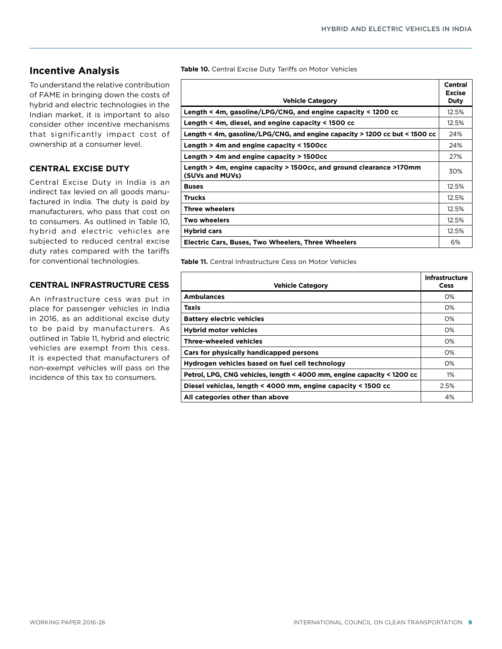# **Incentive Analysis**

To understand the relative contribution of FAME in bringing down the costs of hybrid and electric technologies in the Indian market, it is important to also consider other incentive mechanisms that significantly impact cost of ownership at a consumer level.

## **CENTRAL EXCISE DUTY**

Central Excise Duty in India is an indirect tax levied on all goods manufactured in India. The duty is paid by manufacturers, who pass that cost on to consumers. As outlined in Table 10, hybrid and electric vehicles are subjected to reduced central excise duty rates compared with the tariffs for conventional technologies.

## **CENTRAL INFRASTRUCTURE CESS**

An infrastructure cess was put in place for passenger vehicles in India in 2016, as an additional excise duty to be paid by manufacturers. As outlined in Table 11, hybrid and electric vehicles are exempt from this cess. It is expected that manufacturers of non-exempt vehicles will pass on the incidence of this tax to consumers.

**Table 10.** Central Excise Duty Tariffs on Motor Vehicles

|                                                                                       | Central<br><b>Excise</b> |
|---------------------------------------------------------------------------------------|--------------------------|
| <b>Vehicle Category</b>                                                               | Duty                     |
| Length < 4m, gasoline/LPG/CNG, and engine capacity < 1200 cc                          | 12.5%                    |
| Length < 4m, diesel, and engine capacity < 1500 cc                                    | 12.5%                    |
| Length < 4m, gasoline/LPG/CNG, and engine capacity > 1200 cc but < 1500 cc            | 24%                      |
| Length $>$ 4m and engine capacity $<$ 1500cc                                          | 24%                      |
| Length > 4m and engine capacity > 1500cc                                              | 27%                      |
| Length > 4m, engine capacity > 1500cc, and ground clearance >170mm<br>(SUVs and MUVs) | 30%                      |
| <b>Buses</b>                                                                          | 12.5%                    |
| <b>Trucks</b>                                                                         | 12.5%                    |
| <b>Three wheelers</b>                                                                 | 12.5%                    |
| <b>Two wheelers</b>                                                                   | 12.5%                    |
| <b>Hybrid cars</b>                                                                    | 12.5%                    |
| <b>Electric Cars, Buses, Two Wheelers, Three Wheelers</b>                             | 6%                       |

**Table 11.** Central Infrastructure Cess on Motor Vehicles

| <b>Vehicle Category</b>                                                | Infrastructure<br>Cess |
|------------------------------------------------------------------------|------------------------|
| <b>Ambulances</b>                                                      | O%                     |
| Taxis                                                                  | O%                     |
| <b>Battery electric vehicles</b>                                       | O%                     |
| <b>Hybrid motor vehicles</b>                                           | O%                     |
| <b>Three-wheeled vehicles</b>                                          | O%                     |
| Cars for physically handicapped persons                                | O%                     |
| Hydrogen vehicles based on fuel cell technology                        | O%                     |
| Petrol, LPG, CNG vehicles, length < 4000 mm, engine capacity < 1200 cc | $1\%$                  |
| Diesel vehicles, length < 4000 mm, engine capacity < 1500 cc           | 2.5%                   |
| All categories other than above                                        | 4%                     |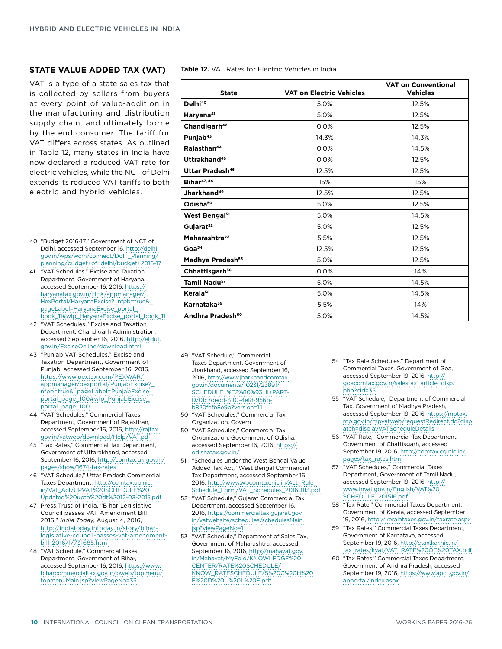#### **STATE VALUE ADDED TAX (VAT)**

VAT is a type of a state sales tax that is collected by sellers from buyers at every point of value-addition in the manufacturing and distribution supply chain, and ultimately borne by the end consumer. The tariff for VAT differs across states. As outlined in Table 12, many states in India have now declared a reduced VAT rate for electric vehicles, while the NCT of Delhi extends its reduced VAT tariffs to both electric and hybrid vehicles.

- 40 "Budget 2016-17," Government of NCT of Delhi, accessed September 16, [http://delhi.](http://delhi.gov.in/wps/wcm/connect/DoIT_Planning/planning/budget+of+delhi/budget+2016-17) [gov.in/wps/wcm/connect/DoIT\\_Planning/](http://delhi.gov.in/wps/wcm/connect/DoIT_Planning/planning/budget+of+delhi/budget+2016-17) [planning/budget+of+delhi/budget+2016-17](http://delhi.gov.in/wps/wcm/connect/DoIT_Planning/planning/budget+of+delhi/budget+2016-17)
- 41 "VAT Schedules," Excise and Taxation Department, Government of Haryana, accessed September 16, 2016, [https://](https://haryanatax.gov.in/HEX/appmanager/HexPortal/HaryanaExcise?_nfpb=true&_pageLabel=HaryanaExcise_portal_book_11#wlp_HaryanaExcise_portal_book_11) [haryanatax.gov.in/HEX/appmanager/](https://haryanatax.gov.in/HEX/appmanager/HexPortal/HaryanaExcise?_nfpb=true&_pageLabel=HaryanaExcise_portal_book_11#wlp_HaryanaExcise_portal_book_11) [HexPortal/HaryanaExcise?\\_nfpb=true&\\_](https://haryanatax.gov.in/HEX/appmanager/HexPortal/HaryanaExcise?_nfpb=true&_pageLabel=HaryanaExcise_portal_book_11#wlp_HaryanaExcise_portal_book_11) [pageLabel=HaryanaExcise\\_portal\\_](https://haryanatax.gov.in/HEX/appmanager/HexPortal/HaryanaExcise?_nfpb=true&_pageLabel=HaryanaExcise_portal_book_11#wlp_HaryanaExcise_portal_book_11) [book\\_11#wlp\\_HaryanaExcise\\_portal\\_book\\_11](https://haryanatax.gov.in/HEX/appmanager/HexPortal/HaryanaExcise?_nfpb=true&_pageLabel=HaryanaExcise_portal_book_11#wlp_HaryanaExcise_portal_book_11)
- 42 "VAT Schedules," Excise and Taxation Department, Chandigarh Administration, accessed September 16, 2016, [http://etdut.](http://etdut.gov.in/ExciseOnline/download.html) [gov.in/ExciseOnline/download.html](http://etdut.gov.in/ExciseOnline/download.html)
- 43 "Punjab VAT Schedules," Excise and Taxation Department, Government of Punjab, accessed September 16, 2016, [https://www.pextax.com/PEXWAR/](https://www.pextax.com/PEXWAR/appmanager/pexportal/PunjabExcise?_nfpb=true&_pageLabel=PunjabExcise_portal_page_100#wlp_PunjabExcise_portal_page_100) [appmanager/pexportal/PunjabExcise?\\_](https://www.pextax.com/PEXWAR/appmanager/pexportal/PunjabExcise?_nfpb=true&_pageLabel=PunjabExcise_portal_page_100#wlp_PunjabExcise_portal_page_100) [nfpb=true&\\_pageLabel=PunjabExcise\\_](https://www.pextax.com/PEXWAR/appmanager/pexportal/PunjabExcise?_nfpb=true&_pageLabel=PunjabExcise_portal_page_100#wlp_PunjabExcise_portal_page_100) [portal\\_page\\_100#wlp\\_PunjabExcise\\_](https://www.pextax.com/PEXWAR/appmanager/pexportal/PunjabExcise?_nfpb=true&_pageLabel=PunjabExcise_portal_page_100#wlp_PunjabExcise_portal_page_100) [portal\\_page\\_100](https://www.pextax.com/PEXWAR/appmanager/pexportal/PunjabExcise?_nfpb=true&_pageLabel=PunjabExcise_portal_page_100#wlp_PunjabExcise_portal_page_100)
- 44 "VAT Schedules," Commercial Taxes Department, Government of Rajasthan, accessed September 16, 2016, [http://rajtax.](http://rajtax.gov.in/vatweb/download/Help/VAT.pdf) [gov.in/vatweb/download/Help/VAT.pdf](http://rajtax.gov.in/vatweb/download/Help/VAT.pdf)
- 45 "Tax Rates," Commercial Tax Department, Government of Uttarakhand, accessed September 16, 2016, [http://comtax.uk.gov.in/](http://comtax.uk.gov.in/pages/show/1674-tax-rates) [pages/show/1674-tax-rates](http://comtax.uk.gov.in/pages/show/1674-tax-rates)
- 46 "VAT Schedule," Uttar Pradesh Commercial Taxes Department, [http://comtax.up.nic.](http://comtax.up.nic.in/Vat_Act/UPVAT SCHEDULE Updated upto dt 12-03-2015.pdf) [in/Vat\\_Act/UPVAT%20SCHEDULE%20](http://comtax.up.nic.in/Vat_Act/UPVAT SCHEDULE Updated upto dt 12-03-2015.pdf) [Updated%20upto%20dt%2012-03-2015.pdf](http://comtax.up.nic.in/Vat_Act/UPVAT SCHEDULE Updated upto dt 12-03-2015.pdf)
- 47 Press Trust of India, "Bihar Legislative Council passes VAT Amendment Bill 2016," *India Today,* August 4, 2016, [http://indiatoday.intoday.in/story/bihar](http://indiatoday.intoday.in/story/bihar-legislative-council-passes-vat-amendment-bill-2016/1/731685.html)[legislative-council-passes-vat-amendment](http://indiatoday.intoday.in/story/bihar-legislative-council-passes-vat-amendment-bill-2016/1/731685.html)[bill-2016/1/731685.html](http://indiatoday.intoday.in/story/bihar-legislative-council-passes-vat-amendment-bill-2016/1/731685.html)
- 48 "VAT Schedule," Commercial Taxes Department, Government of Bihar, accessed September 16, 2016, [https://www.](https://www.biharcommercialtax.gov.in/bweb/topmenu/topmenuMain.jsp?viewPageNo=33) [biharcommercialtax.gov.in/bweb/topmenu/](https://www.biharcommercialtax.gov.in/bweb/topmenu/topmenuMain.jsp?viewPageNo=33) [topmenuMain.jsp?viewPageNo=33](https://www.biharcommercialtax.gov.in/bweb/topmenu/topmenuMain.jsp?viewPageNo=33)

| <b>Table 12.</b> VAT Rates for Electric Vehicles in India |  |
|-----------------------------------------------------------|--|
|-----------------------------------------------------------|--|

| <b>State</b>                 | <b>VAT on Electric Vehicles</b> | <b>VAT on Conventional</b><br><b>Vehicles</b> |
|------------------------------|---------------------------------|-----------------------------------------------|
| Delhi <sup>40</sup>          | 5.0%                            | 12.5%                                         |
| Haryana <sup>41</sup>        | 5.0%                            | 12.5%                                         |
| Chandigarh <sup>42</sup>     | 0.0%                            | 12.5%                                         |
| Punjab <sup>43</sup>         | 14.3%                           | 14.3%                                         |
| Rajasthan <sup>44</sup>      | 0.0%                            | 14.5%                                         |
| Uttrakhand <sup>45</sup>     | 0.0%                            | 12.5%                                         |
| Uttar Pradesh <sup>46</sup>  | 12.5%                           | 12.5%                                         |
| Bihar <sup>47, 48</sup>      | 15%                             | 15%                                           |
| Jharkhand <sup>49</sup>      | 12.5%                           | 12.5%                                         |
| Odisha <sup>50</sup>         | 5.0%                            | 12.5%                                         |
| West Bengal <sup>51</sup>    | 5.0%                            | 14.5%                                         |
| Gujarat <sup>52</sup>        | 5.0%                            | 12.5%                                         |
| Maharashtra <sup>53</sup>    | 5.5%                            | 12.5%                                         |
| Goa <sup>54</sup>            | 12.5%                           | 12.5%                                         |
| Madhya Pradesh <sup>55</sup> | 5.0%                            | 12.5%                                         |
| Chhattisgarh <sup>56</sup>   | 0.0%                            | 14%                                           |
| Tamil Nadu <sup>57</sup>     | 5.0%                            | 14.5%                                         |
| Kerala <sup>58</sup>         | 5.0%                            | 14.5%                                         |
| Karnataka <sup>59</sup>      | 5.5%                            | 14%                                           |
| Andhra Pradesh <sup>60</sup> | 5.0%                            | 14.5%                                         |

- 49 "VAT Schedule" Commercial Taxes Department, Government of Jharkhand, accessed September 16, 2016, [http://www.jharkhandcomtax.](http://www.jharkhandcomtax.gov.in/documents/10231/23891/SCHEDULE+%E2%80%93+II+PART-D/01c7dedd-31f0-4ef8-956b-b820fefb8e9b?version=1.1) [gov.in/documents/10231/23891/](http://www.jharkhandcomtax.gov.in/documents/10231/23891/SCHEDULE+%E2%80%93+II+PART-D/01c7dedd-31f0-4ef8-956b-b820fefb8e9b?version=1.1) [SCHEDULE+%E2%80%93+II+PART-](http://www.jharkhandcomtax.gov.in/documents/10231/23891/SCHEDULE+%E2%80%93+II+PART-D/01c7dedd-31f0-4ef8-956b-b820fefb8e9b?version=1.1)[D/01c7dedd-31f0-4ef8-956b](http://www.jharkhandcomtax.gov.in/documents/10231/23891/SCHEDULE+%E2%80%93+II+PART-D/01c7dedd-31f0-4ef8-956b-b820fefb8e9b?version=1.1)[b820fefb8e9b?version=1.1](http://www.jharkhandcomtax.gov.in/documents/10231/23891/SCHEDULE+%E2%80%93+II+PART-D/01c7dedd-31f0-4ef8-956b-b820fefb8e9b?version=1.1)
- 50 "VAT Schedules," Commercial Tax Organization, Govern
- 50 "VAT Schedules," Commercial Tax Organization, Government of Odisha, accessed September 16, 2016, [https://](https://odishatax.gov.in/) [odishatax.gov.in/](https://odishatax.gov.in/)
- 51 "Schedules under the West Bengal Value Added Tax Act," West Bengal Commercial Tax Department, accessed September 16, 2016, [http://www.wbcomtax.nic.in/Act\\_Rule\\_](http://www.wbcomtax.nic.in/Act_Rule_Schedule_Form/VAT_Schedules_20160113.pdf) [Schedule\\_Form/VAT\\_Schedules\\_20160113.pdf](http://www.wbcomtax.nic.in/Act_Rule_Schedule_Form/VAT_Schedules_20160113.pdf)
- 52 "VAT Schedule," Gujarat Commercial Tax Department, accessed September 16, 2016, [https://commercialtax.gujarat.gov.](https://commercialtax.gujarat.gov.in/vatwebsite/schedules/schedulesMain.jsp?viewPageNo=1) [in/vatwebsite/schedules/schedulesMain.](https://commercialtax.gujarat.gov.in/vatwebsite/schedules/schedulesMain.jsp?viewPageNo=1) [jsp?viewPageNo=1](https://commercialtax.gujarat.gov.in/vatwebsite/schedules/schedulesMain.jsp?viewPageNo=1)
- 53 "VAT Schedule," Department of Sales Tax, Government of Maharashtra, accessed September 16, 2016, [http://mahavat.gov.](http://mahavat.gov.in/Mahavat/MyFold/KNOWLEDGE CENTER/RATE SCHEDULE/KNOW_RATESCHEDULE/S C H E D U L E.pdf) [in/Mahavat/MyFold/KNOWLEDGE%20](http://mahavat.gov.in/Mahavat/MyFold/KNOWLEDGE CENTER/RATE SCHEDULE/KNOW_RATESCHEDULE/S C H E D U L E.pdf) [CENTER/RATE%20SCHEDULE/](http://mahavat.gov.in/Mahavat/MyFold/KNOWLEDGE CENTER/RATE SCHEDULE/KNOW_RATESCHEDULE/S C H E D U L E.pdf) [KNOW\\_RATESCHEDULE/S%20C%20H%20](http://mahavat.gov.in/Mahavat/MyFold/KNOWLEDGE CENTER/RATE SCHEDULE/KNOW_RATESCHEDULE/S C H E D U L E.pdf) [E%20D%20U%20L%20E.pdf](http://mahavat.gov.in/Mahavat/MyFold/KNOWLEDGE CENTER/RATE SCHEDULE/KNOW_RATESCHEDULE/S C H E D U L E.pdf)
- 54 "Tax Rate Schedules," Department of Commercial Taxes, Government of Goa, accessed September 19, 2016, [http://](http://goacomtax.gov.in/salestax_article_disp.php?cid=35) [goacomtax.gov.in/salestax\\_article\\_disp.](http://goacomtax.gov.in/salestax_article_disp.php?cid=35) [php?cid=35](http://goacomtax.gov.in/salestax_article_disp.php?cid=35)
- 55 "VAT Schedule," Department of Commercial Tax, Government of Madhya Pradesh, accessed September 19, 2016, [https://mptax.](https://mptax.mp.gov.in/mpvatweb/requestRedirect.do?dispatch=displayVATScheduleDetails) [mp.gov.in/mpvatweb/requestRedirect.do?disp](https://mptax.mp.gov.in/mpvatweb/requestRedirect.do?dispatch=displayVATScheduleDetails) [atch=displayVATScheduleDetails](https://mptax.mp.gov.in/mpvatweb/requestRedirect.do?dispatch=displayVATScheduleDetails)
- 56 "VAT Rate," Commercial Tax Department, Government of Chattisgarh, accessed September 19, 2016, [http://comtax.cg.nic.in/](http://comtax.cg.nic.in/pages/tax_rates.htm) [pages/tax\\_rates.htm](http://comtax.cg.nic.in/pages/tax_rates.htm)
- 57 "VAT Schedules," Commercial Taxes Department, Government of Tamil Nadu, accessed September 19, 2016, [http://](http://www.tnvat.gov.in/English/VAT SCHEDULE_201516.pdf) [www.tnvat.gov.in/English/VAT%20](http://www.tnvat.gov.in/English/VAT SCHEDULE_201516.pdf) [SCHEDULE\\_201516.pdf](http://www.tnvat.gov.in/English/VAT SCHEDULE_201516.pdf)
- 58 "Tax Rate," Commercial Taxes Department, Government of Kerala, accessed September 19, 2016, <http://keralataxes.gov.in/taxrate.aspx>
- 59 "Tax Rates," Commercial Taxes Department, Government of Karnataka, accessed September 19, 2016, [http://ctax.kar.nic.in/](http://ctax.kar.nic.in/tax_rates/kvat/VAT_RATE OF TAX.pdf) [tax\\_rates/kvat/VAT\\_RATE%20OF%20TAX.pdf](http://ctax.kar.nic.in/tax_rates/kvat/VAT_RATE OF TAX.pdf)
- 60 "Tax Rates," Commercial Taxes Department, Government of Andhra Pradesh, accessed September 19, 2016, [https://www.apct.gov.in/](https://www.apct.gov.in/apportal/index.aspx) [apportal/index.aspx](https://www.apct.gov.in/apportal/index.aspx)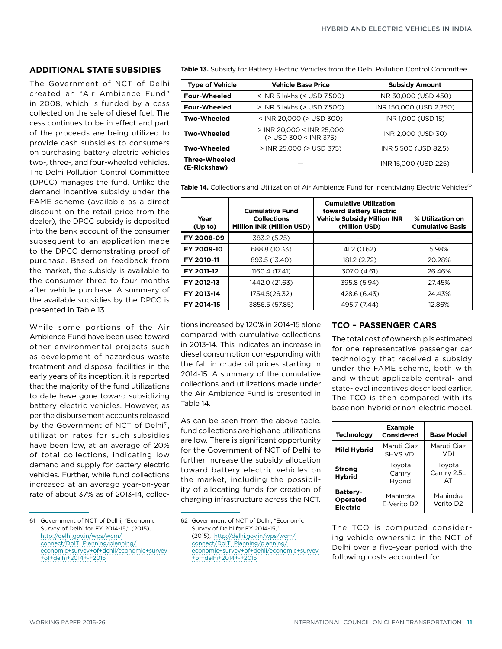#### **ADDITIONAL STATE SUBSIDIES**

The Government of NCT of Delhi created an "Air Ambience Fund" in 2008, which is funded by a cess collected on the sale of diesel fuel. The cess continues to be in effect and part of the proceeds are being utilized to provide cash subsidies to consumers on purchasing battery electric vehicles two-, three-, and four-wheeled vehicles. The Delhi Pollution Control Committee (DPCC) manages the fund. Unlike the demand incentive subsidy under the FAME scheme (available as a direct discount on the retail price from the dealer), the DPCC subsidy is deposited into the bank account of the consumer subsequent to an application made to the DPCC demonstrating proof of purchase. Based on feedback from the market, the subsidy is available to the consumer three to four months after vehicle purchase. A summary of the available subsidies by the DPCC is presented in Table 13.

While some portions of the Air Ambience Fund have been used toward other environmental projects such as development of hazardous waste treatment and disposal facilities in the early years of its inception, it is reported that the majority of the fund utilizations to date have gone toward subsidizing battery electric vehicles. However, as per the disbursement accounts released by the Government of NCT of Delhi<sup>61</sup>, utilization rates for such subsidies have been low, at an average of 20% of total collections, indicating low demand and supply for battery electric vehicles. Further, while fund collections increased at an average year-on-year rate of about 37% as of 2013-14, collec**Table 13.** Subsidy for Battery Electric Vehicles from the Delhi Pollution Control Committee

| <b>Type of Vehicle</b>               | <b>Vehicle Base Price</b>                          | <b>Subsidy Amount</b>   |  |
|--------------------------------------|----------------------------------------------------|-------------------------|--|
| <b>Four-Wheeled</b>                  | < INR 5 lakhs (< USD 7,500)                        | INR 30,000 (USD 450)    |  |
| <b>Four-Wheeled</b>                  | > INR 5 lakhs (> USD 7,500)                        | INR 150,000 (USD 2,250) |  |
| <b>Two-Wheeled</b>                   | < INR 20,000 (> USD 300)                           | INR 1,000 (USD 15)      |  |
| <b>Two-Wheeled</b>                   | > INR 20,000 < INR 25,000<br>(> USD 300 < INR 375) | INR 2,000 (USD 30)      |  |
| <b>Two-Wheeled</b>                   | > INR 25,000 (> USD 375)                           | INR 5,500 (USD 82.5)    |  |
| <b>Three-Wheeled</b><br>(E-Rickshaw) |                                                    | INR 15,000 (USD 225)    |  |

Table 14. Collections and Utilization of Air Ambience Fund for Incentivizing Electric Vehicles<sup>62</sup>

| Year<br>(Up to) | <b>Cumulative Fund</b><br><b>Collections</b><br><b>Million INR (Million USD)</b> | <b>Cumulative Utilization</b><br>toward Battery Electric<br><b>Vehicle Subsidy Million INR</b><br>(Million USD) | % Utilization on<br><b>Cumulative Basis</b> |
|-----------------|----------------------------------------------------------------------------------|-----------------------------------------------------------------------------------------------------------------|---------------------------------------------|
| FY 2008-09      | 383.2 (5.75)                                                                     |                                                                                                                 |                                             |
| FY 2009-10      | 688.8 (10.33)                                                                    | 41.2(0.62)                                                                                                      | 5.98%                                       |
| FY 2010-11      | 893.5 (13.40)                                                                    | 181.2 (2.72)                                                                                                    | 20.28%                                      |
| FY 2011-12      | 1160.4 (17.41)                                                                   | 307.0 (4.61)                                                                                                    | 26.46%                                      |
| FY 2012-13      | 1442.0 (21.63)                                                                   | 395.8 (5.94)                                                                                                    | 27.45%                                      |
| FY 2013-14      | 1754.5(26.32)                                                                    | 428.6 (6.43)                                                                                                    | 24.43%                                      |
| FY 2014-15      | 3856.5 (57.85)                                                                   | 495.7 (7.44)                                                                                                    | 12.86%                                      |

tions increased by 120% in 2014-15 alone compared with cumulative collections in 2013-14. This indicates an increase in diesel consumption corresponding with the fall in crude oil prices starting in 2014-15. A summary of the cumulative collections and utilizations made under the Air Ambience Fund is presented in Table 14.

As can be seen from the above table, fund collections are high and utilizations are low. There is significant opportunity for the Government of NCT of Delhi to further increase the subsidy allocation toward battery electric vehicles on the market, including the possibility of allocating funds for creation of charging infrastructure across the NCT.

62 Government of NCT of Delhi, "Economic Survey of Delhi for FY 2014-15," (2015), [http://delhi.gov.in/wps/wcm/](http://delhi.gov.in/wps/wcm/connect/DoIT_Planning/planning/economic+survey+of+dehli/economic+survey+of+delhi+2014+-+2015) [connect/DoIT\\_Planning/planning/](http://delhi.gov.in/wps/wcm/connect/DoIT_Planning/planning/economic+survey+of+dehli/economic+survey+of+delhi+2014+-+2015) [economic+survey+of+dehli/economic+survey](http://delhi.gov.in/wps/wcm/connect/DoIT_Planning/planning/economic+survey+of+dehli/economic+survey+of+delhi+2014+-+2015) [+of+delhi+2014+-+2015](http://delhi.gov.in/wps/wcm/connect/DoIT_Planning/planning/economic+survey+of+dehli/economic+survey+of+delhi+2014+-+2015)

## **TCO – PASSENGER CARS**

The total cost of ownership is estimated for one representative passenger car technology that received a subsidy under the FAME scheme, both with and without applicable central- and state-level incentives described earlier. The TCO is then compared with its base non-hybrid or non-electric model.

| <b>Technology</b>                                     | <b>Example</b><br><b>Considered</b> | <b>Base Model</b>          |  |  |
|-------------------------------------------------------|-------------------------------------|----------------------------|--|--|
| <b>Mild Hybrid</b>                                    | Maruti Ciaz<br><b>SHVS VDI</b>      | Maruti Ciaz<br>VDI         |  |  |
| <b>Strong</b><br><b>H</b> vbrid                       | Toyota<br>Camry<br>Hybrid           | Toyota<br>Camry 2.5L<br>AT |  |  |
| <b>Battery-</b><br><b>Operated</b><br><b>Electric</b> | Mahindra<br>E-Verito D2             | Mahindra<br>Verito D2      |  |  |

The TCO is computed considering vehicle ownership in the NCT of Delhi over a five-year period with the following costs accounted for:

<sup>61</sup> Government of NCT of Delhi, "Economic Survey of Delhi for FY 2014-15," (2015), [http://delhi.gov.in/wps/wcm/](http://delhi.gov.in/wps/wcm/connect/DoIT_Planning/planning/economic+survey+of+dehli/economic+survey+of+delhi+2014+-+2015) [connect/DoIT\\_Planning/planning/](http://delhi.gov.in/wps/wcm/connect/DoIT_Planning/planning/economic+survey+of+dehli/economic+survey+of+delhi+2014+-+2015) [economic+survey+of+dehli/economic+survey](http://delhi.gov.in/wps/wcm/connect/DoIT_Planning/planning/economic+survey+of+dehli/economic+survey+of+delhi+2014+-+2015) [+of+delhi+2014+-+2015](http://delhi.gov.in/wps/wcm/connect/DoIT_Planning/planning/economic+survey+of+dehli/economic+survey+of+delhi+2014+-+2015)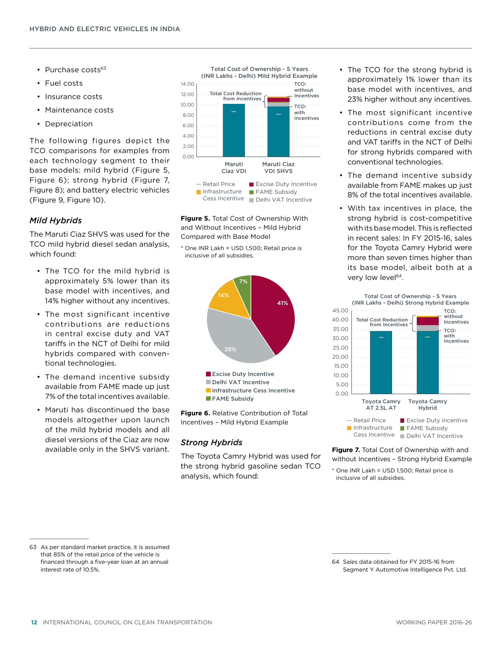- Purchase costs $63$
- Fuel costs
- Insurance costs
- Maintenance costs
- Depreciation

The following figures depict the TCO comparisons for examples from each technology segment to their base models: mild hybrid (Figure 5, Figure 6); strong hybrid (Figure 7, Figure 8); and battery electric vehicles (Figure 9, Figure 10).

#### *Mild Hybrids*

The Maruti Ciaz SHVS was used for the TCO mild hybrid diesel sedan analysis, which found:

- The TCO for the mild hybrid is approximately 5% lower than its base model with incentives, and 14% higher without any incentives.
- The most significant incentive contributions are reductions in central excise duty and VAT tariffs in the NCT of Delhi for mild hybrids compared with conventional technologies.
- The demand incentive subsidy available from FAME made up just 7% of the total incentives available.
- Maruti has discontinued the base models altogether upon launch of the mild hybrid models and all diesel versions of the Ciaz are now available only in the SHVS variant.



**Figure 5.** Total Cost of Ownership With and Without Incentives – Mild Hybrid Compared with Base Model

\* One INR Lakh = USD 1,500; Retail price is inclusive of all subsidies.



Incentives – Mild Hybrid Example

#### *Strong Hybrids*

The Toyota Camry Hybrid was used for the strong hybrid gasoline sedan TCO analysis, which found:

- The TCO for the strong hybrid is approximately 1% lower than its base model with incentives, and 23% higher without any incentives.
- The most significant incentive contributions come from the reductions in central excise duty and VAT tariffs in the NCT of Delhi for strong hybrids compared with conventional technologies.
- The demand incentive subsidy available from FAME makes up just 8% of the total incentives available.
- With tax incentives in place, the strong hybrid is cost-competitive with its base model. This is reflected in recent sales: In FY 2015-16, sales for the Toyota Camry Hybrid were more than seven times higher than its base model, albeit both at a very low level<sup>64</sup>.



**Figure 7.** Total Cost of Ownership with and without Incentives – Strong Hybrid Example

\* One INR Lakh = USD 1,500; Retail price is inclusive of all subsidies.

<sup>63</sup> As per standard market practice, it is assumed that 85% of the retail price of the vehicle is financed through a five-year loan at an annual interest rate of 10.5%.

<sup>64</sup> Sales data obtained for FY 2015-16 from Segment Y Automotive Intelligence Pvt. Ltd.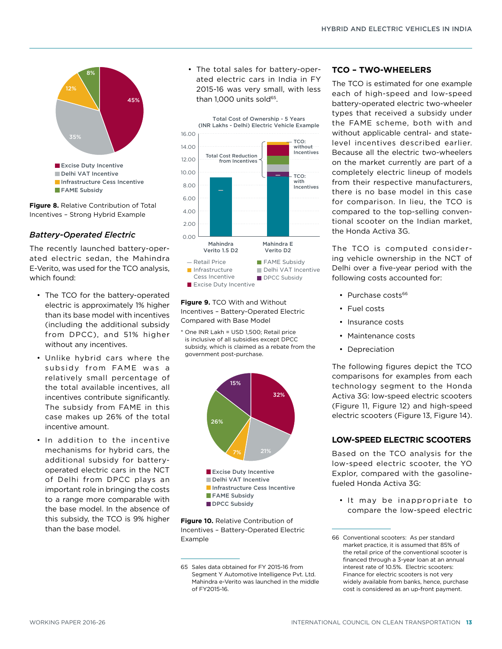

**Figure 8.** Relative Contribution of Total Incentives – Strong Hybrid Example

## *Battery-Operated Electric*

The recently launched battery-operated electric sedan, the Mahindra E-Verito, was used for the TCO analysis, which found:

- The TCO for the battery-operated electric is approximately 1% higher than its base model with incentives (including the additional subsidy from DPCC), and 51% higher without any incentives.
- Unlike hybrid cars where the subsidy from FAME was a relatively small percentage of the total available incentives, all incentives contribute significantly. The subsidy from FAME in this case makes up 26% of the total incentive amount.
- In addition to the incentive mechanisms for hybrid cars, the additional subsidy for batteryoperated electric cars in the NCT of Delhi from DPCC plays an important role in bringing the costs to a range more comparable with the base model. In the absence of this subsidy, the TCO is 9% higher than the base model.

• The total sales for battery-operated electric cars in India in FY 2015-16 was very small, with less than 1,000 units sold<sup>65</sup>.



**Figure 9.** TCO With and Without Incentives – Battery-Operated Electric Compared with Base Model

\* One INR Lakh = USD 1,500; Retail price is inclusive of all subsidies except DPCC subsidy, which is claimed as a rebate from the government post-purchase.



**Figure 10.** Relative Contribution of Incentives – Battery-Operated Electric Example

#### **TCO – TWO-WHEELERS**

The TCO is estimated for one example each of high-speed and low-speed battery-operated electric two-wheeler types that received a subsidy under the FAME scheme, both with and without applicable central- and statelevel incentives described earlier. Because all the electric two-wheelers on the market currently are part of a completely electric lineup of models from their respective manufacturers, there is no base model in this case for comparison. In lieu, the TCO is compared to the top-selling conventional scooter on the Indian market, the Honda Activa 3G.

The TCO is computed considering vehicle ownership in the NCT of Delhi over a five-year period with the following costs accounted for:

- Purchase costs<sup>66</sup>
- Fuel costs
- Insurance costs
- Maintenance costs
- Depreciation

The following figures depict the TCO comparisons for examples from each technology segment to the Honda Activa 3G: low-speed electric scooters (Figure 11, Figure 12) and high-speed electric scooters (Figure 13, Figure 14).

## **LOW-SPEED ELECTRIC SCOOTERS**

Based on the TCO analysis for the low-speed electric scooter, the YO Explor, compared with the gasolinefueled Honda Activa 3G:

• It may be inappropriate to compare the low-speed electric

<sup>65</sup> Sales data obtained for FY 2015-16 from Segment Y Automotive Intelligence Pvt. Ltd. Mahindra e-Verito was launched in the middle of FY2015-16.

<sup>66</sup> Conventional scooters: As per standard market practice, it is assumed that 85% of the retail price of the conventional scooter is financed through a 3-year loan at an annual interest rate of 10.5%. Electric scooters: Finance for electric scooters is not very widely available from banks, hence, purchase cost is considered as an up-front payment.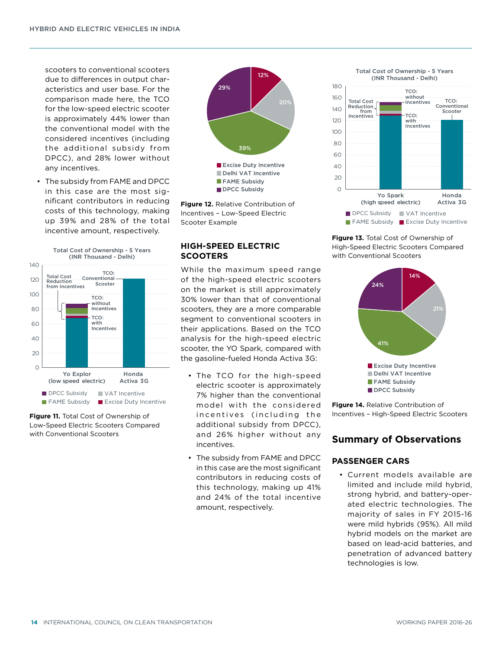scooters to conventional scooters due to differences in output characteristics and user base. For the comparison made here, the TCO for the low-speed electric scooter is approximately 44% lower than the conventional model with the considered incentives (including the additional subsidy from DPCC), and 28% lower without any incentives.

• The subsidy from FAME and DPCC in this case are the most significant contributors in reducing costs of this technology, making up 39% and 28% of the total incentive amount, respectively.







**Figure 12.** Relative Contribution of Incentives – Low-Speed Electric Scooter Example

## **HIGH-SPEED ELECTRIC SCOOTERS**

While the maximum speed range of the high-speed electric scooters on the market is still approximately 30% lower than that of conventional scooters, they are a more comparable segment to conventional scooters in their applications. Based on the TCO analysis for the high-speed electric scooter, the YO Spark, compared with the gasoline-fueled Honda Activa 3G:

- The TCO for the high-speed electric scooter is approximately 7% higher than the conventional model with the considered incentives (including the additional subsidy from DPCC), and 26% higher without any incentives.
- The subsidy from FAME and DPCC in this case are the most significant contributors in reducing costs of this technology, making up 41% and 24% of the total incentive amount, respectively.

Total Cost of Ownership - 5 Years (INR Thousand - Delhi)



**Figure 13.** Total Cost of Ownership of High-Speed Electric Scooters Compared with Conventional Scooters



**Figure 14.** Relative Contribution of Incentives – High-Speed Electric Scooters

## **Summary of Observations**

#### **PASSENGER CARS**

• Current models available are limited and include mild hybrid, strong hybrid, and battery-operated electric technologies. The majority of sales in FY 2015-16 were mild hybrids (95%). All mild hybrid models on the market are based on lead-acid batteries, and penetration of advanced battery technologies is low.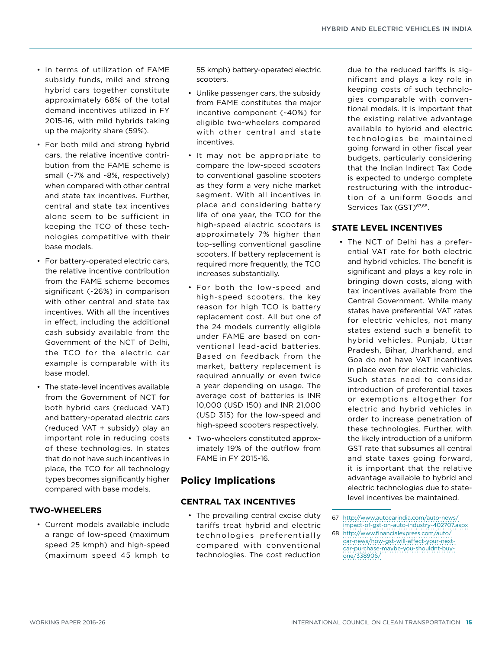- In terms of utilization of FAME subsidy funds, mild and strong hybrid cars together constitute approximately 68% of the total demand incentives utilized in FY 2015-16, with mild hybrids taking up the majority share (59%).
- For both mild and strong hybrid cars, the relative incentive contribution from the FAME scheme is small (~7% and ~8%, respectively) when compared with other central and state tax incentives. Further, central and state tax incentives alone seem to be sufficient in keeping the TCO of these technologies competitive with their base models.
- For battery-operated electric cars, the relative incentive contribution from the FAME scheme becomes significant (~26%) in comparison with other central and state tax incentives. With all the incentives in effect, including the additional cash subsidy available from the Government of the NCT of Delhi, the TCO for the electric car example is comparable with its base model.
- The state-level incentives available from the Government of NCT for both hybrid cars (reduced VAT) and battery-operated electric cars (reduced VAT + subsidy) play an important role in reducing costs of these technologies. In states that do not have such incentives in place, the TCO for all technology types becomes significantly higher compared with base models.

## **TWO-WHEELERS**

• Current models available include a range of low-speed (maximum speed 25 kmph) and high-speed (maximum speed 45 kmph to

55 kmph) battery-operated electric scooters.

- Unlike passenger cars, the subsidy from FAME constitutes the major incentive component (~40%) for eligible two-wheelers compared with other central and state incentives.
- It may not be appropriate to compare the low-speed scooters to conventional gasoline scooters as they form a very niche market segment. With all incentives in place and considering battery life of one year, the TCO for the high-speed electric scooters is approximately 7% higher than top-selling conventional gasoline scooters. If battery replacement is required more frequently, the TCO increases substantially.
- For both the low-speed and high-speed scooters, the key reason for high TCO is battery replacement cost. All but one of the 24 models currently eligible under FAME are based on conventional lead-acid batteries. Based on feedback from the market, battery replacement is required annually or even twice a year depending on usage. The average cost of batteries is INR 10,000 (USD 150) and INR 21,000 (USD 315) for the low-speed and high-speed scooters respectively.
- Two-wheelers constituted approximately 19% of the outflow from FAME in FY 2015-16.

# **Policy Implications**

## **CENTRAL TAX INCENTIVES**

• The prevailing central excise duty tariffs treat hybrid and electric technologies preferentially compared with conventional technologies. The cost reduction

due to the reduced tariffs is significant and plays a key role in keeping costs of such technologies comparable with conventional models. It is important that the existing relative advantage available to hybrid and electric technologies be maintained going forward in other fiscal year budgets, particularly considering that the Indian Indirect Tax Code is expected to undergo complete restructuring with the introduction of a uniform Goods and Services Tax (GST)<sup>67,68</sup>.

## **STATE LEVEL INCENTIVES**

• The NCT of Delhi has a preferential VAT rate for both electric and hybrid vehicles. The benefit is significant and plays a key role in bringing down costs, along with tax incentives available from the Central Government. While many states have preferential VAT rates for electric vehicles, not many states extend such a benefit to hybrid vehicles. Punjab, Uttar Pradesh, Bihar, Jharkhand, and Goa do not have VAT incentives in place even for electric vehicles. Such states need to consider introduction of preferential taxes or exemptions altogether for electric and hybrid vehicles in order to increase penetration of these technologies. Further, with the likely introduction of a uniform GST rate that subsumes all central and state taxes going forward, it is important that the relative advantage available to hybrid and electric technologies due to statelevel incentives be maintained.

<sup>67</sup> [http://www.autocarindia.com/auto-news/](http://www.autocarindia.com/auto-news/impact-of-gst-on-auto-industry-402707.aspx) [impact-of-gst-on-auto-industry-402707.aspx](http://www.autocarindia.com/auto-news/impact-of-gst-on-auto-industry-402707.aspx)

<sup>68</sup> [http://www.financialexpress.com/auto/](http://www.financialexpress.com/auto/car-news/how-gst-will-affect-your-next-car-purchase-maybe-you-shouldnt-buy-one/338906/) [car-news/how-gst-will-affect-your-next](http://www.financialexpress.com/auto/car-news/how-gst-will-affect-your-next-car-purchase-maybe-you-shouldnt-buy-one/338906/)[car-purchase-maybe-you-shouldnt-buy](http://www.financialexpress.com/auto/car-news/how-gst-will-affect-your-next-car-purchase-maybe-you-shouldnt-buy-one/338906/)[one/338906/](http://www.financialexpress.com/auto/car-news/how-gst-will-affect-your-next-car-purchase-maybe-you-shouldnt-buy-one/338906/)